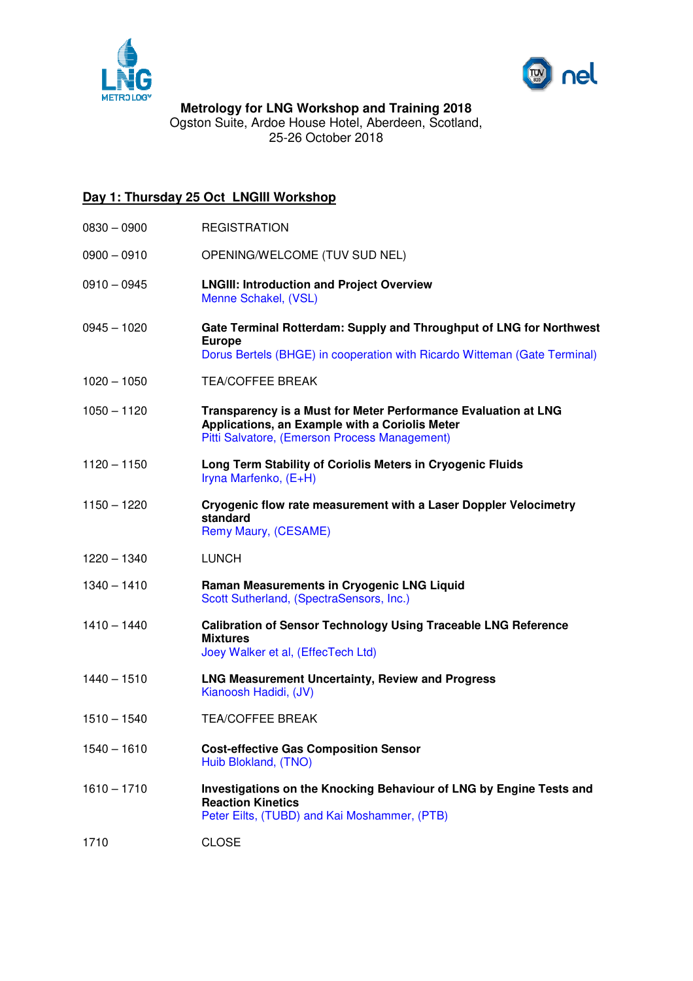



**Metrology for LNG Workshop and Training 2018**  Ogston Suite, Ardoe House Hotel, Aberdeen, Scotland, 25-26 October 2018

## **Day 1: Thursday 25 Oct LNGIII Workshop**

- 0830 0900 REGISTRATION
- 0900 0910 OPENING/WELCOME (TUV SUD NEL)
- 0910 0945 **LNGIII: Introduction and Project Overview** Menne Schakel, (VSL)
- 0945 1020 **Gate Terminal Rotterdam: Supply and Throughput of LNG for Northwest Europe** Dorus Bertels (BHGE) in cooperation with Ricardo Witteman (Gate Terminal)
- 1020 1050 TEA/COFFEE BREAK
- 1050 1120 **Transparency is a Must for Meter Performance Evaluation at LNG Applications, an Example with a Coriolis Meter**  Pitti Salvatore, (Emerson Process Management)
- 1120 1150 **Long Term Stability of Coriolis Meters in Cryogenic Fluids** Iryna Marfenko, (E+H)
- 1150 1220 **Cryogenic flow rate measurement with a Laser Doppler Velocimetry standard**  Remy Maury, (CESAME)
- 1220 1340 LUNCH
- 1340 1410 **Raman Measurements in Cryogenic LNG Liquid** Scott Sutherland, (SpectraSensors, Inc.)
- 1410 1440 **Calibration of Sensor Technology Using Traceable LNG Reference Mixtures** Joey Walker et al, (EffecTech Ltd)
- 1440 1510 **LNG Measurement Uncertainty, Review and Progress** Kianoosh Hadidi, (JV)
- 1510 1540 TEA/COFFEE BREAK
- 1540 1610 **Cost-effective Gas Composition Sensor** Huib Blokland, (TNO)
- 1610 1710 **Investigations on the Knocking Behaviour of LNG by Engine Tests and Reaction Kinetics**  Peter Eilts, (TUBD) and Kai Moshammer, (PTB)
- 1710 CLOSE